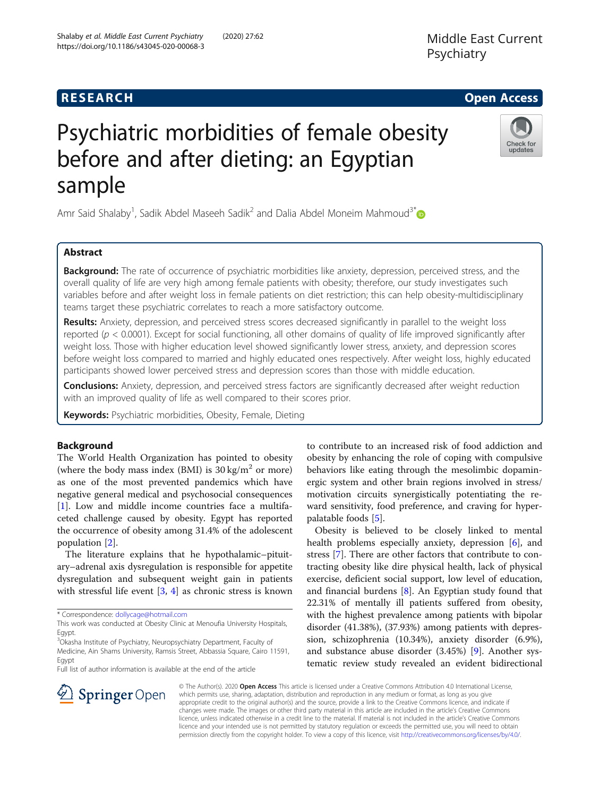# Psychiatric morbidities of female obesity before and after dieting: an Egyptian sample

Amr Said Shalaby<sup>1</sup>, Sadik Abdel Maseeh Sadik<sup>2</sup> and Dalia Abdel Moneim Mahmoud<sup>3\*</sup>

# Abstract

Background: The rate of occurrence of psychiatric morbidities like anxiety, depression, perceived stress, and the overall quality of life are very high among female patients with obesity; therefore, our study investigates such variables before and after weight loss in female patients on diet restriction; this can help obesity-multidisciplinary teams target these psychiatric correlates to reach a more satisfactory outcome.

Results: Anxiety, depression, and perceived stress scores decreased significantly in parallel to the weight loss reported ( $p < 0.0001$ ). Except for social functioning, all other domains of quality of life improved significantly after weight loss. Those with higher education level showed significantly lower stress, anxiety, and depression scores before weight loss compared to married and highly educated ones respectively. After weight loss, highly educated participants showed lower perceived stress and depression scores than those with middle education.

Conclusions: Anxiety, depression, and perceived stress factors are significantly decreased after weight reduction with an improved quality of life as well compared to their scores prior.

Keywords: Psychiatric morbidities, Obesity, Female, Dieting

# Background

The World Health Organization has pointed to obesity (where the body mass index (BMI) is  $30 \text{ kg/m}^2$  or more) as one of the most prevented pandemics which have negative general medical and psychosocial consequences [[1\]](#page-6-0). Low and middle income countries face a multifaceted challenge caused by obesity. Egypt has reported the occurrence of obesity among 31.4% of the adolescent population [[2\]](#page-6-0).

The literature explains that he hypothalamic–pituitary–adrenal axis dysregulation is responsible for appetite dysregulation and subsequent weight gain in patients with stressful life event  $[3, 4]$  $[3, 4]$  $[3, 4]$  as chronic stress is known

\* Correspondence: [dollycage@hotmail.com](mailto:dollycage@hotmail.com)

 $\mathcal{L}$  Springer Open

This work was conducted at Obesity Clinic at Menoufia University Hospitals, Egypt.

<sup>3</sup>Okasha Institute of Psychiatry, Neuropsychiatry Department, Faculty of Medicine, Ain Shams University, Ramsis Street, Abbassia Square, Cairo 11591, Egypt

Full list of author information is available at the end of the article

to contribute to an increased risk of food addiction and obesity by enhancing the role of coping with compulsive behaviors like eating through the mesolimbic dopaminergic system and other brain regions involved in stress/ motivation circuits synergistically potentiating the reward sensitivity, food preference, and craving for hyperpalatable foods [\[5\]](#page-6-0).

Obesity is believed to be closely linked to mental health problems especially anxiety, depression [[6](#page-6-0)], and stress [\[7](#page-6-0)]. There are other factors that contribute to contracting obesity like dire physical health, lack of physical exercise, deficient social support, low level of education, and financial burdens [\[8\]](#page-6-0). An Egyptian study found that 22.31% of mentally ill patients suffered from obesity, with the highest prevalence among patients with bipolar disorder (41.38%), (37.93%) among patients with depression, schizophrenia (10.34%), anxiety disorder (6.9%), and substance abuse disorder (3.45%) [\[9](#page-6-0)]. Another systematic review study revealed an evident bidirectional

© The Author(s). 2020 Open Access This article is licensed under a Creative Commons Attribution 4.0 International License, which permits use, sharing, adaptation, distribution and reproduction in any medium or format, as long as you give appropriate credit to the original author(s) and the source, provide a link to the Creative Commons licence, and indicate if changes were made. The images or other third party material in this article are included in the article's Creative Commons licence, unless indicated otherwise in a credit line to the material. If material is not included in the article's Creative Commons licence and your intended use is not permitted by statutory regulation or exceeds the permitted use, you will need to obtain permission directly from the copyright holder. To view a copy of this licence, visit <http://creativecommons.org/licenses/by/4.0/>.







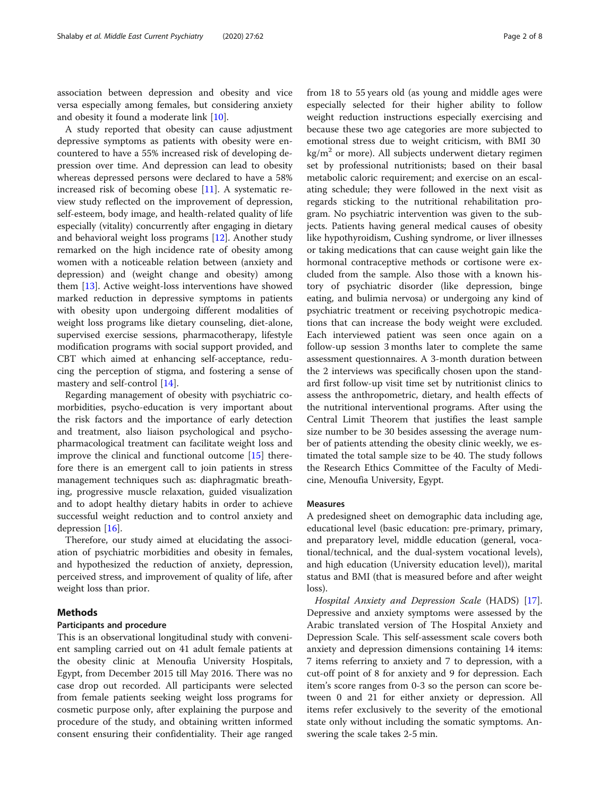association between depression and obesity and vice versa especially among females, but considering anxiety and obesity it found a moderate link [\[10\]](#page-6-0).

A study reported that obesity can cause adjustment depressive symptoms as patients with obesity were encountered to have a 55% increased risk of developing depression over time. And depression can lead to obesity whereas depressed persons were declared to have a 58% increased risk of becoming obese [[11\]](#page-6-0). A systematic review study reflected on the improvement of depression, self-esteem, body image, and health-related quality of life especially (vitality) concurrently after engaging in dietary and behavioral weight loss programs [\[12](#page-6-0)]. Another study remarked on the high incidence rate of obesity among women with a noticeable relation between (anxiety and depression) and (weight change and obesity) among them [\[13](#page-6-0)]. Active weight-loss interventions have showed marked reduction in depressive symptoms in patients with obesity upon undergoing different modalities of weight loss programs like dietary counseling, diet-alone, supervised exercise sessions, pharmacotherapy, lifestyle modification programs with social support provided, and CBT which aimed at enhancing self-acceptance, reducing the perception of stigma, and fostering a sense of mastery and self-control [\[14](#page-6-0)].

Regarding management of obesity with psychiatric comorbidities, psycho-education is very important about the risk factors and the importance of early detection and treatment, also liaison psychological and psychopharmacological treatment can facilitate weight loss and improve the clinical and functional outcome [\[15](#page-6-0)] therefore there is an emergent call to join patients in stress management techniques such as: diaphragmatic breathing, progressive muscle relaxation, guided visualization and to adopt healthy dietary habits in order to achieve successful weight reduction and to control anxiety and depression [\[16](#page-6-0)].

Therefore, our study aimed at elucidating the association of psychiatric morbidities and obesity in females, and hypothesized the reduction of anxiety, depression, perceived stress, and improvement of quality of life, after weight loss than prior.

#### Methods

#### Participants and procedure

This is an observational longitudinal study with convenient sampling carried out on 41 adult female patients at the obesity clinic at Menoufia University Hospitals, Egypt, from December 2015 till May 2016. There was no case drop out recorded. All participants were selected from female patients seeking weight loss programs for cosmetic purpose only, after explaining the purpose and procedure of the study, and obtaining written informed consent ensuring their confidentiality. Their age ranged

from 18 to 55 years old (as young and middle ages were especially selected for their higher ability to follow weight reduction instructions especially exercising and because these two age categories are more subjected to emotional stress due to weight criticism, with BMI 30  $kg/m<sup>2</sup>$  or more). All subjects underwent dietary regimen set by professional nutritionists; based on their basal metabolic caloric requirement; and exercise on an escalating schedule; they were followed in the next visit as regards sticking to the nutritional rehabilitation program. No psychiatric intervention was given to the subjects. Patients having general medical causes of obesity like hypothyroidism, Cushing syndrome, or liver illnesses or taking medications that can cause weight gain like the hormonal contraceptive methods or cortisone were excluded from the sample. Also those with a known history of psychiatric disorder (like depression, binge eating, and bulimia nervosa) or undergoing any kind of psychiatric treatment or receiving psychotropic medications that can increase the body weight were excluded. Each interviewed patient was seen once again on a follow-up session 3 months later to complete the same assessment questionnaires. A 3-month duration between the 2 interviews was specifically chosen upon the standard first follow-up visit time set by nutritionist clinics to assess the anthropometric, dietary, and health effects of the nutritional interventional programs. After using the Central Limit Theorem that justifies the least sample size number to be 30 besides assessing the average number of patients attending the obesity clinic weekly, we estimated the total sample size to be 40. The study follows the Research Ethics Committee of the Faculty of Medicine, Menoufia University, Egypt.

#### Measures

A predesigned sheet on demographic data including age, educational level (basic education: pre-primary, primary, and preparatory level, middle education (general, vocational/technical, and the dual-system vocational levels), and high education (University education level)), marital status and BMI (that is measured before and after weight loss).

Hospital Anxiety and Depression Scale (HADS) [\[17](#page-6-0)]. Depressive and anxiety symptoms were assessed by the Arabic translated version of The Hospital Anxiety and Depression Scale. This self-assessment scale covers both anxiety and depression dimensions containing 14 items: 7 items referring to anxiety and 7 to depression, with a cut-off point of 8 for anxiety and 9 for depression. Each item's score ranges from 0-3 so the person can score between 0 and 21 for either anxiety or depression. All items refer exclusively to the severity of the emotional state only without including the somatic symptoms. Answering the scale takes 2-5 min.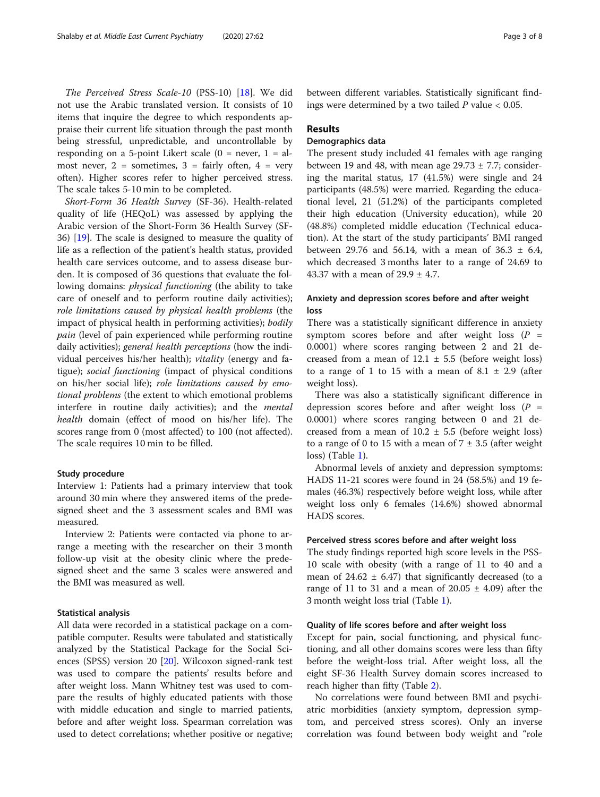The Perceived Stress Scale-10 (PSS-10) [\[18\]](#page-6-0). We did not use the Arabic translated version. It consists of 10 items that inquire the degree to which respondents appraise their current life situation through the past month being stressful, unpredictable, and uncontrollable by responding on a 5-point Likert scale  $(0 = never, 1 = al$ most never,  $2 =$  sometimes,  $3 =$  fairly often,  $4 =$  very often). Higher scores refer to higher perceived stress. The scale takes 5-10 min to be completed.

Short-Form 36 Health Survey (SF-36). Health-related quality of life (HEQoL) was assessed by applying the Arabic version of the Short-Form 36 Health Survey (SF-36) [\[19](#page-6-0)]. The scale is designed to measure the quality of life as a reflection of the patient's health status, provided health care services outcome, and to assess disease burden. It is composed of 36 questions that evaluate the following domains: *physical functioning* (the ability to take care of oneself and to perform routine daily activities); role limitations caused by physical health problems (the impact of physical health in performing activities); bodily pain (level of pain experienced while performing routine daily activities); general health perceptions (how the individual perceives his/her health); vitality (energy and fatigue); social functioning (impact of physical conditions on his/her social life); role limitations caused by emotional problems (the extent to which emotional problems interfere in routine daily activities); and the mental health domain (effect of mood on his/her life). The scores range from 0 (most affected) to 100 (not affected). The scale requires 10 min to be filled.

#### Study procedure

Interview 1: Patients had a primary interview that took around 30 min where they answered items of the predesigned sheet and the 3 assessment scales and BMI was measured.

Interview 2: Patients were contacted via phone to arrange a meeting with the researcher on their 3 month follow-up visit at the obesity clinic where the predesigned sheet and the same 3 scales were answered and the BMI was measured as well.

#### Statistical analysis

All data were recorded in a statistical package on a compatible computer. Results were tabulated and statistically analyzed by the Statistical Package for the Social Sciences (SPSS) version 20 [\[20](#page-6-0)]. Wilcoxon signed-rank test was used to compare the patients' results before and after weight loss. Mann Whitney test was used to compare the results of highly educated patients with those with middle education and single to married patients, before and after weight loss. Spearman correlation was used to detect correlations; whether positive or negative;

between different variables. Statistically significant findings were determined by a two tailed  $P$  value  $< 0.05$ .

#### Results

# Demographics data

The present study included 41 females with age ranging between 19 and 48, with mean age  $29.73 \pm 7.7$ ; considering the marital status, 17 (41.5%) were single and 24 participants (48.5%) were married. Regarding the educational level, 21 (51.2%) of the participants completed their high education (University education), while 20 (48.8%) completed middle education (Technical education). At the start of the study participants' BMI ranged between 29.76 and 56.14, with a mean of 36.3  $\pm$  6.4, which decreased 3 months later to a range of 24.69 to 43.37 with a mean of  $29.9 \pm 4.7$ .

# Anxiety and depression scores before and after weight loss

There was a statistically significant difference in anxiety symptom scores before and after weight loss  $(P =$ 0.0001) where scores ranging between 2 and 21 decreased from a mean of  $12.1 \pm 5.5$  (before weight loss) to a range of 1 to 15 with a mean of  $8.1 \pm 2.9$  (after weight loss).

There was also a statistically significant difference in depression scores before and after weight loss  $(P =$ 0.0001) where scores ranging between 0 and 21 decreased from a mean of  $10.2 \pm 5.5$  (before weight loss) to a range of 0 to 15 with a mean of  $7 \pm 3.5$  (after weight loss) (Table [1](#page-3-0)).

Abnormal levels of anxiety and depression symptoms: HADS 11-21 scores were found in 24 (58.5%) and 19 females (46.3%) respectively before weight loss, while after weight loss only 6 females (14.6%) showed abnormal HADS scores.

#### Perceived stress scores before and after weight loss

The study findings reported high score levels in the PSS-10 scale with obesity (with a range of 11 to 40 and a mean of 24.62  $\pm$  6.47) that significantly decreased (to a range of 11 to 31 and a mean of  $20.05 \pm 4.09$ ) after the 3 month weight loss trial (Table [1](#page-3-0)).

#### Quality of life scores before and after weight loss

Except for pain, social functioning, and physical functioning, and all other domains scores were less than fifty before the weight-loss trial. After weight loss, all the eight SF-36 Health Survey domain scores increased to reach higher than fifty (Table [2\)](#page-3-0).

No correlations were found between BMI and psychiatric morbidities (anxiety symptom, depression symptom, and perceived stress scores). Only an inverse correlation was found between body weight and "role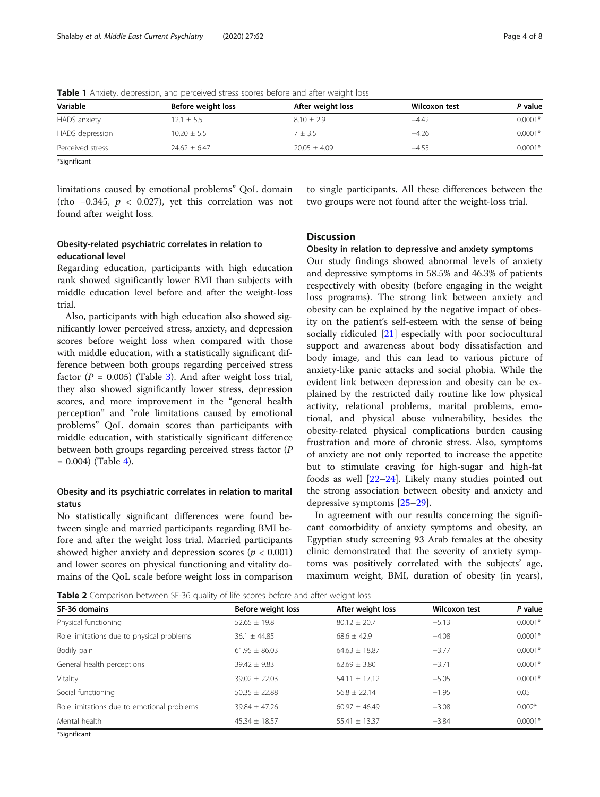| Variable         | Before weight loss | After weight loss | Wilcoxon test | P value   |
|------------------|--------------------|-------------------|---------------|-----------|
| HADS anxiety     | $12.1 \pm 5.5$     | $8.10 + 2.9$      | $-4.42$       | $0.0001*$ |
| HADS depression  | $10.20 + 5.5$      | $7 + 3.5$         | $-4.26$       | $0.0001*$ |
| Perceived stress | $24.62 \pm 6.47$   | $20.05 \pm 4.09$  | $-4.55$       | $0.0001*$ |

<span id="page-3-0"></span>Table 1 Anxiety, depression, and perceived stress scores before and after weight loss

\*Significant

limitations caused by emotional problems" QoL domain (rho −0.345, p < 0.027), yet this correlation was not found after weight loss.

# Obesity-related psychiatric correlates in relation to educational level

Regarding education, participants with high education rank showed significantly lower BMI than subjects with middle education level before and after the weight-loss trial.

Also, participants with high education also showed significantly lower perceived stress, anxiety, and depression scores before weight loss when compared with those with middle education, with a statistically significant difference between both groups regarding perceived stress factor ( $P = 0.005$ ) (Table [3\)](#page-4-0). And after weight loss trial, they also showed significantly lower stress, depression scores, and more improvement in the "general health perception" and "role limitations caused by emotional problems" QoL domain scores than participants with middle education, with statistically significant difference between both groups regarding perceived stress factor (P  $= 0.004$  $= 0.004$ ) (Table 4).

# Obesity and its psychiatric correlates in relation to marital status

No statistically significant differences were found between single and married participants regarding BMI before and after the weight loss trial. Married participants showed higher anxiety and depression scores ( $p < 0.001$ ) and lower scores on physical functioning and vitality domains of the QoL scale before weight loss in comparison to single participants. All these differences between the two groups were not found after the weight-loss trial.

# **Discussion**

#### Obesity in relation to depressive and anxiety symptoms

Our study findings showed abnormal levels of anxiety and depressive symptoms in 58.5% and 46.3% of patients respectively with obesity (before engaging in the weight loss programs). The strong link between anxiety and obesity can be explained by the negative impact of obesity on the patient's self-esteem with the sense of being socially ridiculed [[21](#page-6-0)] especially with poor sociocultural support and awareness about body dissatisfaction and body image, and this can lead to various picture of anxiety-like panic attacks and social phobia. While the evident link between depression and obesity can be explained by the restricted daily routine like low physical activity, relational problems, marital problems, emotional, and physical abuse vulnerability, besides the obesity-related physical complications burden causing frustration and more of chronic stress. Also, symptoms of anxiety are not only reported to increase the appetite but to stimulate craving for high-sugar and high-fat foods as well [\[22](#page-6-0)–[24\]](#page-6-0). Likely many studies pointed out the strong association between obesity and anxiety and depressive symptoms [[25](#page-6-0)–[29](#page-6-0)].

In agreement with our results concerning the significant comorbidity of anxiety symptoms and obesity, an Egyptian study screening 93 Arab females at the obesity clinic demonstrated that the severity of anxiety symptoms was positively correlated with the subjects' age, maximum weight, BMI, duration of obesity (in years),

**Table 2** Comparison between SF-36 quality of life scores before and after weight loss

| SF-36 domains                              | Before weight loss | After weight loss | <b>Wilcoxon test</b> | P value   |
|--------------------------------------------|--------------------|-------------------|----------------------|-----------|
| Physical functioning                       | $52.65 \pm 19.8$   | $80.12 \pm 20.7$  | $-5.13$              | $0.0001*$ |
| Role limitations due to physical problems  | $36.1 \pm 44.85$   | $68.6 + 42.9$     | $-4.08$              | $0.0001*$ |
| Bodily pain                                | $61.95 \pm 86.03$  | $64.63 \pm 18.87$ | $-3.77$              | $0.0001*$ |
| General health perceptions                 | $39.42 + 9.83$     | $62.69 + 3.80$    | $-3.71$              | $0.0001*$ |
| Vitality                                   | $39.02 + 22.03$    | $54.11 + 17.12$   | $-5.05$              | $0.0001*$ |
| Social functioning                         | $50.35 \pm 22.88$  | $56.8 \pm 22.14$  | $-1.95$              | 0.05      |
| Role limitations due to emotional problems | $39.84 + 47.26$    | $60.97 + 46.49$   | $-3.08$              | $0.002*$  |
| Mental health                              | $45.34 \pm 18.57$  | $55.41 \pm 13.37$ | $-3.84$              | $0.0001*$ |

\*Significant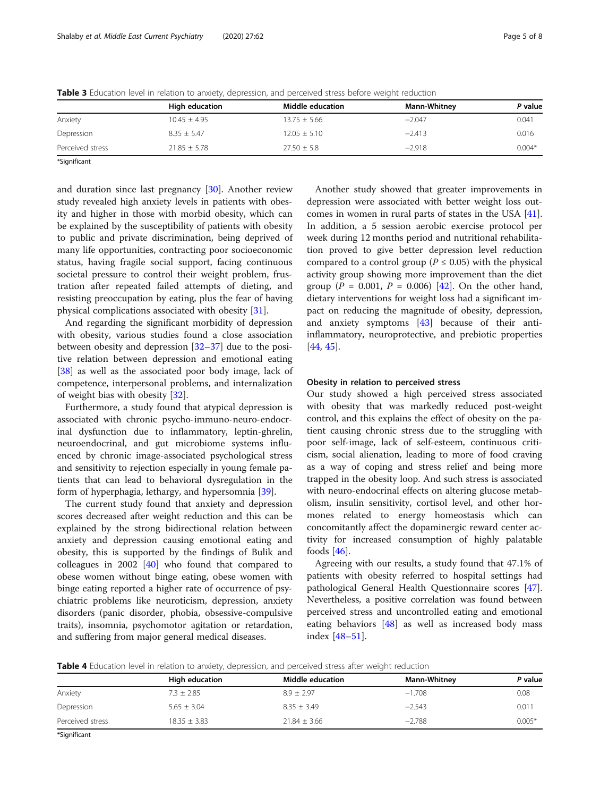|                  | High education   | Middle education | <b>Mann-Whitney</b> | P value  |
|------------------|------------------|------------------|---------------------|----------|
| Anxiety          | $10.45 \pm 4.95$ | $13.75 \pm 5.66$ | $-2.047$            | 0.041    |
| Depression       | $8.35 + 5.47$    | $12.05 \pm 5.10$ | $-2.413$            | 0.016    |
| Perceived stress | $21.85 \pm 5.78$ | $27.50 \pm 5.8$  | $-2.918$            | $0.004*$ |

<span id="page-4-0"></span>Table 3 Education level in relation to anxiety, depression, and perceived stress before weight reduction

\*Significant

and duration since last pregnancy [[30\]](#page-6-0). Another review study revealed high anxiety levels in patients with obesity and higher in those with morbid obesity, which can be explained by the susceptibility of patients with obesity to public and private discrimination, being deprived of many life opportunities, contracting poor socioeconomic status, having fragile social support, facing continuous societal pressure to control their weight problem, frustration after repeated failed attempts of dieting, and resisting preoccupation by eating, plus the fear of having physical complications associated with obesity [[31](#page-6-0)].

And regarding the significant morbidity of depression with obesity, various studies found a close association between obesity and depression [\[32](#page-6-0)–[37\]](#page-6-0) due to the positive relation between depression and emotional eating [[38\]](#page-6-0) as well as the associated poor body image, lack of competence, interpersonal problems, and internalization of weight bias with obesity [[32\]](#page-6-0).

Furthermore, a study found that atypical depression is associated with chronic psycho-immuno-neuro-endocrinal dysfunction due to inflammatory, leptin-ghrelin, neuroendocrinal, and gut microbiome systems influenced by chronic image-associated psychological stress and sensitivity to rejection especially in young female patients that can lead to behavioral dysregulation in the form of hyperphagia, lethargy, and hypersomnia [\[39](#page-6-0)].

The current study found that anxiety and depression scores decreased after weight reduction and this can be explained by the strong bidirectional relation between anxiety and depression causing emotional eating and obesity, this is supported by the findings of Bulik and colleagues in 2002  $[40]$  $[40]$  who found that compared to obese women without binge eating, obese women with binge eating reported a higher rate of occurrence of psychiatric problems like neuroticism, depression, anxiety disorders (panic disorder, phobia, obsessive-compulsive traits), insomnia, psychomotor agitation or retardation, and suffering from major general medical diseases.

Another study showed that greater improvements in depression were associated with better weight loss outcomes in women in rural parts of states in the USA [\[41](#page-6-0)]. In addition, a 5 session aerobic exercise protocol per week during 12 months period and nutritional rehabilitation proved to give better depression level reduction compared to a control group ( $P \leq 0.05$ ) with the physical activity group showing more improvement than the diet group ( $P = 0.001$ ,  $P = 0.006$ ) [\[42](#page-6-0)]. On the other hand, dietary interventions for weight loss had a significant impact on reducing the magnitude of obesity, depression, and anxiety symptoms [[43\]](#page-6-0) because of their antiinflammatory, neuroprotective, and prebiotic properties [[44,](#page-6-0) [45\]](#page-6-0).

## Obesity in relation to perceived stress

Our study showed a high perceived stress associated with obesity that was markedly reduced post-weight control, and this explains the effect of obesity on the patient causing chronic stress due to the struggling with poor self-image, lack of self-esteem, continuous criticism, social alienation, leading to more of food craving as a way of coping and stress relief and being more trapped in the obesity loop. And such stress is associated with neuro-endocrinal effects on altering glucose metabolism, insulin sensitivity, cortisol level, and other hormones related to energy homeostasis which can concomitantly affect the dopaminergic reward center activity for increased consumption of highly palatable foods  $[46]$  $[46]$ .

Agreeing with our results, a study found that 47.1% of patients with obesity referred to hospital settings had pathological General Health Questionnaire scores [\[47](#page-7-0)]. Nevertheless, a positive correlation was found between perceived stress and uncontrolled eating and emotional eating behaviors [\[48](#page-7-0)] as well as increased body mass index [\[48](#page-7-0)–[51\]](#page-7-0).

Table 4 Education level in relation to anxiety, depression, and perceived stress after weight reduction

|                  | High education   | Middle education | <b>Mann-Whitney</b> | P value  |
|------------------|------------------|------------------|---------------------|----------|
| Anxiety          | $7.3 \pm 2.85$   | $8.9 + 2.97$     | $-1.708$            | 0.08     |
| Depression       | $5.65 \pm 3.04$  | $8.35 \pm 3.49$  | $-2.543$            | 0.011    |
| Perceived stress | $18.35 \pm 3.83$ | $21.84 \pm 3.66$ | $-2.788$            | $0.005*$ |

\*Significant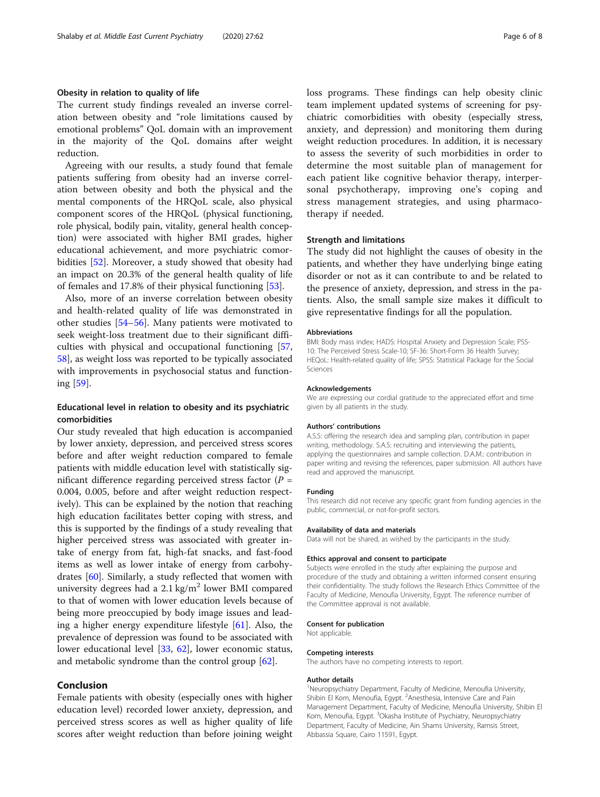## Obesity in relation to quality of life

The current study findings revealed an inverse correlation between obesity and "role limitations caused by emotional problems" QoL domain with an improvement in the majority of the QoL domains after weight reduction.

Agreeing with our results, a study found that female patients suffering from obesity had an inverse correlation between obesity and both the physical and the mental components of the HRQoL scale, also physical component scores of the HRQoL (physical functioning, role physical, bodily pain, vitality, general health conception) were associated with higher BMI grades, higher educational achievement, and more psychiatric comorbidities [[52\]](#page-7-0). Moreover, a study showed that obesity had an impact on 20.3% of the general health quality of life of females and 17.8% of their physical functioning [\[53](#page-7-0)].

Also, more of an inverse correlation between obesity and health-related quality of life was demonstrated in other studies [\[54](#page-7-0)–[56\]](#page-7-0). Many patients were motivated to seek weight-loss treatment due to their significant difficulties with physical and occupational functioning [[57](#page-7-0), [58\]](#page-7-0), as weight loss was reported to be typically associated with improvements in psychosocial status and functioning [\[59](#page-7-0)].

# Educational level in relation to obesity and its psychiatric comorbidities

Our study revealed that high education is accompanied by lower anxiety, depression, and perceived stress scores before and after weight reduction compared to female patients with middle education level with statistically significant difference regarding perceived stress factor  $(P =$ 0.004, 0.005, before and after weight reduction respectively). This can be explained by the notion that reaching high education facilitates better coping with stress, and this is supported by the findings of a study revealing that higher perceived stress was associated with greater intake of energy from fat, high-fat snacks, and fast-food items as well as lower intake of energy from carbohydrates [[60\]](#page-7-0). Similarly, a study reflected that women with university degrees had a  $2.1 \text{ kg/m}^2$  lower BMI compared to that of women with lower education levels because of being more preoccupied by body image issues and leading a higher energy expenditure lifestyle [[61\]](#page-7-0). Also, the prevalence of depression was found to be associated with lower educational level [[33,](#page-6-0) [62](#page-7-0)], lower economic status, and metabolic syndrome than the control group [\[62](#page-7-0)].

## Conclusion

Female patients with obesity (especially ones with higher education level) recorded lower anxiety, depression, and perceived stress scores as well as higher quality of life scores after weight reduction than before joining weight loss programs. These findings can help obesity clinic team implement updated systems of screening for psychiatric comorbidities with obesity (especially stress, anxiety, and depression) and monitoring them during weight reduction procedures. In addition, it is necessary to assess the severity of such morbidities in order to determine the most suitable plan of management for each patient like cognitive behavior therapy, interpersonal psychotherapy, improving one's coping and stress management strategies, and using pharmacotherapy if needed.

#### Strength and limitations

The study did not highlight the causes of obesity in the patients, and whether they have underlying binge eating disorder or not as it can contribute to and be related to the presence of anxiety, depression, and stress in the patients. Also, the small sample size makes it difficult to give representative findings for all the population.

#### Abbreviations

BMI: Body mass index; HADS: Hospital Anxiety and Depression Scale; PSS-10: The Perceived Stress Scale-10; SF-36: Short-Form 36 Health Survey; HEQoL: Health-related quality of life; SPSS: Statistical Package for the Social Sciences

#### Acknowledgements

We are expressing our cordial gratitude to the appreciated effort and time given by all patients in the study.

#### Authors' contributions

A.S.S: offering the research idea and sampling plan, contribution in paper writing, methodology. S.A.S: recruiting and interviewing the patients, applying the questionnaires and sample collection. D.A.M.: contribution in paper writing and revising the references, paper submission. All authors have read and approved the manuscript.

#### Funding

This research did not receive any specific grant from funding agencies in the public, commercial, or not-for-profit sectors.

#### Availability of data and materials

Data will not be shared, as wished by the participants in the study.

#### Ethics approval and consent to participate

Subjects were enrolled in the study after explaining the purpose and procedure of the study and obtaining a written informed consent ensuring their confidentiality. The study follows the Research Ethics Committee of the Faculty of Medicine, Menoufia University, Egypt. The reference number of the Committee approval is not available.

#### Consent for publication

Not applicable.

#### Competing interests

The authors have no competing interests to report.

#### Author details

<sup>1</sup>Neuropsychiatry Department, Faculty of Medicine, Menoufia University Shibin El Kom, Menoufia, Egypt. <sup>2</sup>Anesthesia, Intensive Care and Pain Management Department, Faculty of Medicine, Menoufia University, Shibin El Kom, Menoufia, Egypt. <sup>3</sup>Okasha Institute of Psychiatry, Neuropsychiatry Department, Faculty of Medicine, Ain Shams University, Ramsis Street, Abbassia Square, Cairo 11591, Egypt.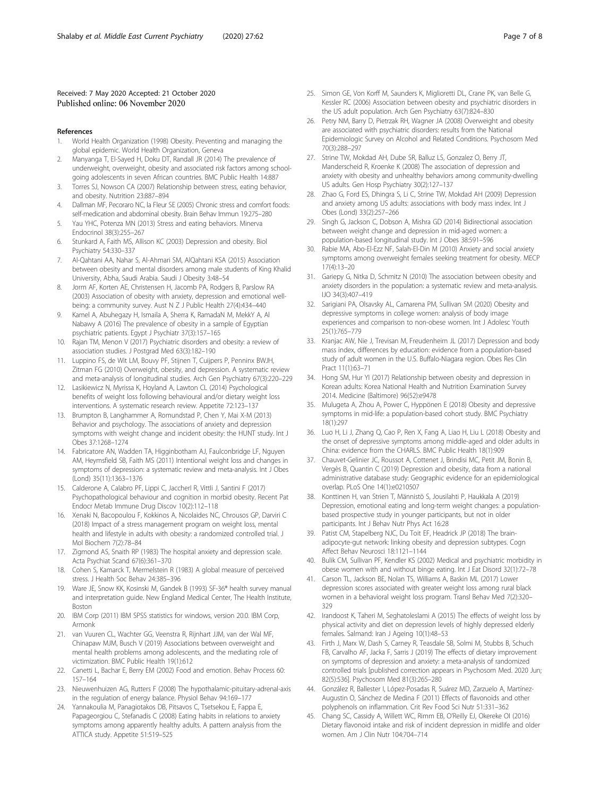#### <span id="page-6-0"></span>Received: 7 May 2020 Accepted: 21 October 2020 Published online: 06 November 2020

#### References

- 1. World Health Organization (1998) Obesity. Preventing and managing the global epidemic. World Health Organization, Geneva
- 2. Manyanga T, El-Sayed H, Doku DT, Randall JR (2014) The prevalence of underweight, overweight, obesity and associated risk factors among schoolgoing adolescents in seven African countries. BMC Public Health 14:887
- 3. Torres SJ, Nowson CA (2007) Relationship between stress, eating behavior, and obesity. Nutrition 23:887–894
- 4. Dallman MF, Pecoraro NC, la Fleur SE (2005) Chronic stress and comfort foods: self-medication and abdominal obesity. Brain Behav Immun 19:275–280
- 5. Yau YHC, Potenza MN (2013) Stress and eating behaviors. Minerva Endocrinol 38(3):255–267
- 6. Stunkard A, Faith MS, Allison KC (2003) Depression and obesity. Biol Psychiatry 54:330–337
- 7. Al-Qahtani AA, Nahar S, Al-Ahmari SM, AlQahtani KSA (2015) Association between obesity and mental disorders among male students of King Khalid University, Abha, Saudi Arabia. Saudi J Obesity 3:48–54
- 8. Jorm AF, Korten AE, Christensen H, Jacomb PA, Rodgers B, Parslow RA (2003) Association of obesity with anxiety, depression and emotional wellbeing: a community survey. Aust N Z J Public Health 27(4):434–440
- 9. Kamel A, Abuhegazy H, Ismaila A, Sherra K, RamadaN M, MekkY A, Al Nabawy A (2016) The prevalence of obesity in a sample of Egyptian psychiatric patients. Egypt J Psychiatr 37(3):157–165
- 10. Rajan TM, Menon V (2017) Psychiatric disorders and obesity: a review of association studies. J Postgrad Med 63(3):182–190
- 11. Luppino FS, de Wit LM, Bouvy PF, Stijnen T, Cuijpers P, Penninx BWJH, Zitman FG (2010) Overweight, obesity, and depression. A systematic review and meta-analysis of longitudinal studies. Arch Gen Psychiatry 67(3):220–229
- 12. Lasikiewicz N, Myrissa K, Hoyland A, Lawton CL (2014) Psychological benefits of weight loss following behavioural and/or dietary weight loss interventions. A systematic research review. Appetite 72:123–137
- 13. Brumpton B, Langhammer A, Romundstad P, Chen Y, Mai X-M (2013) Behavior and psychology. The associations of anxiety and depression symptoms with weight change and incident obesity: the HUNT study. Int J Obes 37:1268–1274
- 14. Fabricatore AN, Wadden TA, Higginbotham AJ, Faulconbridge LF, Nguyen AM, Heymsfield SB, Faith MS (2011) Intentional weight loss and changes in symptoms of depression: a systematic review and meta-analysis. Int J Obes (Lond) 35(11):1363–1376
- 15. Calderone A, Calabro PF, Lippi C, Jaccherl R, Vittli J, Santini F (2017) Psychopathological behaviour and cognition in morbid obesity. Recent Pat Endocr Metab Immune Drug Discov 10(2):112–118
- 16. Xenaki N, Bacopoulou F, Kokkinos A, Nicolaides NC, Chrousos GP, Darviri C (2018) Impact of a stress management program on weight loss, mental health and lifestyle in adults with obesity: a randomized controlled trial. J Mol Biochem 7(2):78–84
- 17. Zigmond AS, Snaith RP (1983) The hospital anxiety and depression scale. Acta Psychiat Scand 67(6):361–370
- 18. Cohen S, Kamarck T, Mermelstein R (1983) A global measure of perceived stress. J Health Soc Behav 24:385–396
- 19. Ware JE, Snow KK, Kosinski M, Gandek B (1993) SF-36® health survey manual and interpretation guide. New England Medical Center, The Health Institute, Boston
- 20. IBM Corp (2011) IBM SPSS statistics for windows, version 20.0. IBM Corp, Armonk
- 21. van Vuuren CL, Wachter GG, Veenstra R, Rijnhart JJM, van der Wal MF, Chinapaw MJM, Busch V (2019) Associations between overweight and mental health problems among adolescents, and the mediating role of victimization. BMC Public Health 19(1):612
- 22. Canetti L, Bachar E, Berry EM (2002) Food and emotion. Behav Process 60: 157–164
- 23. Nieuwenhuizen AG, Rutters F (2008) The hypothalamic-pituitary-adrenal-axis in the regulation of energy balance. Physiol Behav 94:169–177
- 24. Yannakoulia M, Panagiotakos DB, Pitsavos C, Tsetsekou E, Fappa E, Papageorgiou C, Stefanadis C (2008) Eating habits in relations to anxiety symptoms among apparently healthy adults. A pattern analysis from the ATTICA study. Appetite 51:519–525
- 25. Simon GE, Von Korff M, Saunders K, Miglioretti DL, Crane PK, van Belle G, Kessler RC (2006) Association between obesity and psychiatric disorders in the US adult population. Arch Gen Psychiatry 63(7):824–830
- 26. Petry NM, Barry D, Pietrzak RH, Wagner JA (2008) Overweight and obesity are associated with psychiatric disorders: results from the National Epidemiologic Survey on Alcohol and Related Conditions. Psychosom Med 70(3):288–297
- 27. Strine TW, Mokdad AH, Dube SR, Balluz LS, Gonzalez O, Berry JT, Manderscheid R, Kroenke K (2008) The association of depression and anxiety with obesity and unhealthy behaviors among community-dwelling US adults. Gen Hosp Psychiatry 30(2):127–137
- 28. Zhao G, Ford ES, Dhingra S, Li C, Strine TW, Mokdad AH (2009) Depression and anxiety among US adults: associations with body mass index. Int J Obes (Lond) 33(2):257–266
- 29. Singh G, Jackson C, Dobson A, Mishra GD (2014) Bidirectional association between weight change and depression in mid-aged women: a population-based longitudinal study. Int J Obes 38:591–596
- 30. Rabie MA, Abo-El-Ezz NF, Salah-El-Din M (2010) Anxiety and social anxiety symptoms among overweight females seeking treatment for obesity. MECP 17(4):13–20
- 31. Gariepy G, Nitka D, Schmitz N (2010) The association between obesity and anxiety disorders in the population: a systematic review and meta-analysis. IJO 34(3):407–419
- 32. Sarigiani PA, Olsavsky AL, Camarena PM, Sullivan SM (2020) Obesity and depressive symptoms in college women: analysis of body image experiences and comparison to non-obese women. Int J Adolesc Youth 25(1):765–779
- 33. Kranjac AW, Nie J, Trevisan M, Freudenheim JL (2017) Depression and body mass index, differences by education: evidence from a population-based study of adult women in the U.S. Buffalo-Niagara region. Obes Res Clin Pract 11(1):63–71
- 34. Hong SM, Hur YI (2017) Relationship between obesity and depression in Korean adults: Korea National Health and Nutrition Examination Survey 2014. Medicine (Baltimore) 96(52):e9478
- 35. Mulugeta A, Zhou A, Power C, Hyppönen E (2018) Obesity and depressive symptoms in mid-life: a population-based cohort study. BMC Psychiatry 18(1):297
- 36. Luo H, Li J, Zhang Q, Cao P, Ren X, Fang A, Liao H, Liu L (2018) Obesity and the onset of depressive symptoms among middle-aged and older adults in China: evidence from the CHARLS. BMC Public Health 18(1):909
- 37. Chauvet-Gelinier JC, Roussot A, Cottenet J, Brindisi MC, Petit JM, Bonin B, Vergès B, Quantin C (2019) Depression and obesity, data from a national administrative database study: Geographic evidence for an epidemiological overlap. PLoS One 14(1):e0210507
- 38. Konttinen H, van Strien T, Männistö S, Jousilahti P, Haukkala A (2019) Depression, emotional eating and long-term weight changes: a populationbased prospective study in younger participants, but not in older participants. Int J Behav Nutr Phys Act 16:28
- 39. Patist CM, Stapelberg NJC, Du Toit EF, Headrick JP (2018) The brainadipocyte-gut network: linking obesity and depression subtypes. Cogn Affect Behav Neurosci 18:1121–1144
- 40. Bulik CM, Sullivan PF, Kendler KS (2002) Medical and psychiatric morbidity in obese women with and without binge eating. Int J Eat Disord 32(1):72–78
- 41. Carson TL, Jackson BE, Nolan TS, Williams A, Baskin ML (2017) Lower depression scores associated with greater weight loss among rural black women in a behavioral weight loss program. Transl Behav Med 7(2):320– 329
- 42. Irandoost K, Taheri M, Seghatoleslami A (2015) The effects of weight loss by physical activity and diet on depression levels of highly depressed elderly females. Salmand: Iran J Ageing 10(1):48–53
- 43. Firth J, Marx W, Dash S, Carney R, Teasdale SB, Solmi M, Stubbs B, Schuch FB, Carvalho AF, Jacka F, Sarris J (2019) The effects of dietary improvement on symptoms of depression and anxiety: a meta-analysis of randomized controlled trials [published correction appears in Psychosom Med. 2020 Jun; 82(5):536]. Psychosom Med 81(3):265–280
- 44. González R, Ballester I, López-Posadas R, Suárez MD, Zarzuelo A, Martínez-Augustin O, Sánchez de Medina F (2011) Effects of flavonoids and other polyphenols on inflammation. Crit Rev Food Sci Nutr 51:331–362
- 45. Chang SC, Cassidy A, Willett WC, Rimm EB, O'Reilly EJ, Okereke OI (2016) Dietary flavonoid intake and risk of incident depression in midlife and older women. Am J Clin Nutr 104:704–714